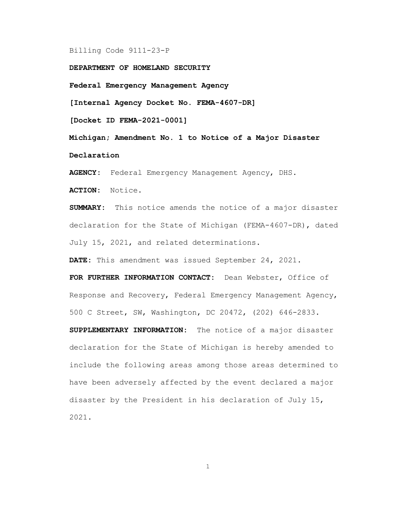## Billing Code 9111-23-P

DEPARTMENT OF HOMELAND SECURITY

Federal Emergency Management Agency

[Internal Agency Docket No. FEMA-4607-DR]

[Docket ID FEMA-2021-0001]

Michigan; Amendment No. 1 to Notice of a Major Disaster Declaration

AGENCY: Federal Emergency Management Agency, DHS.

ACTION: Notice.

SUMMARY: This notice amends the notice of a major disaster declaration for the State of Michigan (FEMA-4607-DR), dated July 15, 2021, and related determinations.

DATE: This amendment was issued September 24, 2021.

FOR FURTHER INFORMATION CONTACT: Dean Webster, Office of Response and Recovery, Federal Emergency Management Agency, 500 C Street, SW, Washington, DC 20472, (202) 646-2833.

SUPPLEMENTARY INFORMATION: The notice of a major disaster declaration for the State of Michigan is hereby amended to include the following areas among those areas determined to have been adversely affected by the event declared a major disaster by the President in his declaration of July 15, 2021.

1